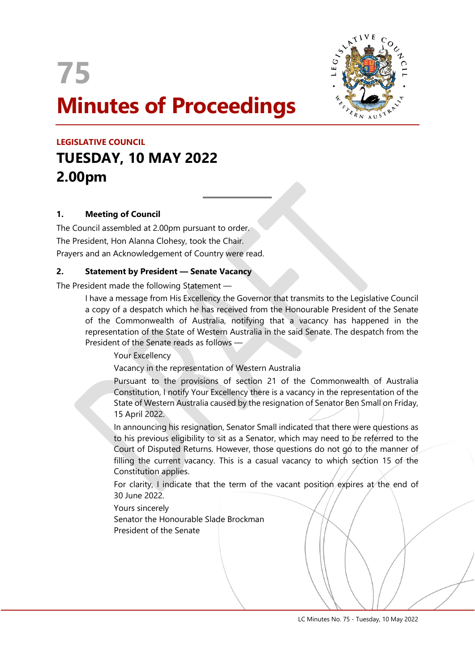



# **LEGISLATIVE COUNCIL TUESDAY, 10 MAY 2022 2.00pm**

## **1. Meeting of Council**

The Council assembled at 2.00pm pursuant to order. The President, Hon Alanna Clohesy, took the Chair. Prayers and an Acknowledgement of Country were read.

## **2. Statement by President — Senate Vacancy**

The President made the following Statement —

I have a message from His Excellency the Governor that transmits to the Legislative Council a copy of a despatch which he has received from the Honourable President of the Senate of the Commonwealth of Australia, notifying that a vacancy has happened in the representation of the State of Western Australia in the said Senate. The despatch from the President of the Senate reads as follows —

Your Excellency

Vacancy in the representation of Western Australia

 $\overline{a}$ 

Pursuant to the provisions of section 21 of the Commonwealth of Australia Constitution, I notify Your Excellency there is a vacancy in the representation of the State of Western Australia caused by the resignation of Senator Ben Small on Friday, 15 April 2022.

In announcing his resignation, Senator Small indicated that there were questions as to his previous eligibility to sit as a Senator, which may need to be referred to the Court of Disputed Returns. However, those questions do not go to the manner of filling the current vacancy. This is a casual vacancy to which section 15 of the Constitution applies.

For clarity. I indicate that the term of the vacant position expires at the end of 30 June 2022.

Yours sincerely

Senator the Honourable Slade Brockman President of the Senate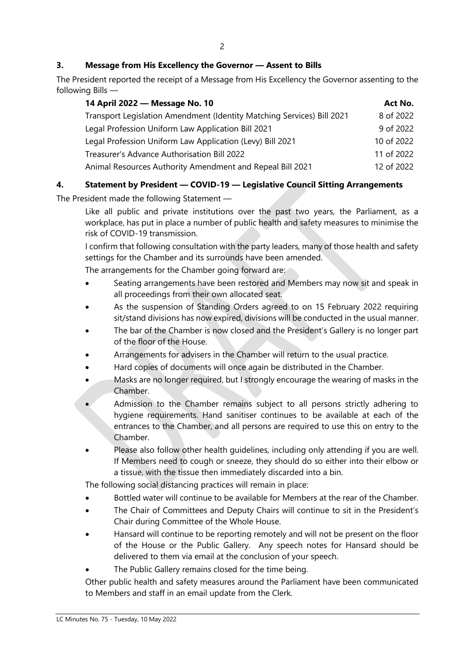# **3. Message from His Excellency the Governor — Assent to Bills**

The President reported the receipt of a Message from His Excellency the Governor assenting to the following Bills —

| 14 April 2022 - Message No. 10                                         | Act No.    |
|------------------------------------------------------------------------|------------|
| Transport Legislation Amendment (Identity Matching Services) Bill 2021 | 8 of 2022  |
| Legal Profession Uniform Law Application Bill 2021                     | 9 of 2022  |
| Legal Profession Uniform Law Application (Levy) Bill 2021              | 10 of 2022 |
| Treasurer's Advance Authorisation Bill 2022                            | 11 of 2022 |
| Animal Resources Authority Amendment and Repeal Bill 2021              | 12 of 2022 |

# **4. Statement by President — COVID-19 — Legislative Council Sitting Arrangements**

The President made the following Statement —

Like all public and private institutions over the past two years, the Parliament, as a workplace, has put in place a number of public health and safety measures to minimise the risk of COVID-19 transmission.

I confirm that following consultation with the party leaders, many of those health and safety settings for the Chamber and its surrounds have been amended.

The arrangements for the Chamber going forward are:

- Seating arrangements have been restored and Members may now sit and speak in all proceedings from their own allocated seat.
- As the suspension of Standing Orders agreed to on 15 February 2022 requiring sit/stand divisions has now expired, divisions will be conducted in the usual manner.
- The bar of the Chamber is now closed and the President's Gallery is no longer part of the floor of the House.
- Arrangements for advisers in the Chamber will return to the usual practice.
- Hard copies of documents will once again be distributed in the Chamber.
- Masks are no longer required, but I strongly encourage the wearing of masks in the Chamber.
- Admission to the Chamber remains subject to all persons strictly adhering to hygiene requirements. Hand sanitiser continues to be available at each of the entrances to the Chamber, and all persons are required to use this on entry to the Chamber.
- Please also follow other health quidelines, including only attending if you are well. If Members need to cough or sneeze, they should do so either into their elbow or a tissue, with the tissue then immediately discarded into a bin.

The following social distancing practices will remain in place:

- Bottled water will continue to be available for Members at the rear of the Chamber.
- The Chair of Committees and Deputy Chairs will continue to sit in the President's Chair during Committee of the Whole House.
- Hansard will continue to be reporting remotely and will not be present on the floor of the House or the Public Gallery. Any speech notes for Hansard should be delivered to them via email at the conclusion of your speech.
- The Public Gallery remains closed for the time being.

Other public health and safety measures around the Parliament have been communicated to Members and staff in an email update from the Clerk.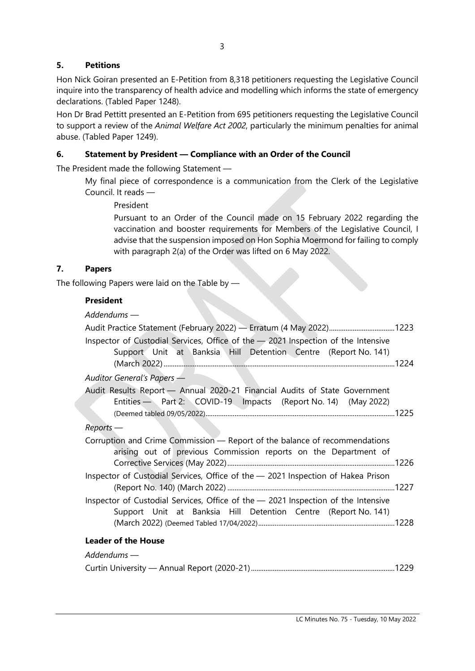Hon Nick Goiran presented an E-Petition from 8,318 petitioners requesting the Legislative Council inquire into the transparency of health advice and modelling which informs the state of emergency declarations. (Tabled Paper 1248).

Hon Dr Brad Pettitt presented an E-Petition from 695 petitioners requesting the Legislative Council to support a review of the *Animal Welfare Act 2002*, particularly the minimum penalties for animal abuse. (Tabled Paper 1249).

# **6. Statement by President — Compliance with an Order of the Council**

The President made the following Statement —

My final piece of correspondence is a communication from the Clerk of the Legislative Council. It reads —

President

Pursuant to an Order of the Council made on 15 February 2022 regarding the vaccination and booster requirements for Members of the Legislative Council, I advise that the suspension imposed on Hon Sophia Moermond for failing to comply with paragraph 2(a) of the Order was lifted on 6 May 2022.

# **7. Papers**

The following Papers were laid on the Table by —

# **President**

| $Addendums$ —                                                                                                                                       |
|-----------------------------------------------------------------------------------------------------------------------------------------------------|
|                                                                                                                                                     |
| Inspector of Custodial Services, Office of the - 2021 Inspection of the Intensive<br>Support Unit at Banksia Hill Detention Centre (Report No. 141) |
| Auditor General's Papers -                                                                                                                          |
| Audit Results Report - Annual 2020-21 Financial Audits of State Government<br>Entities - Part 2: COVID-19 Impacts (Report No. 14) (May 2022)        |
| $Reports$ —                                                                                                                                         |
| Corruption and Crime Commission - Report of the balance of recommendations<br>arising out of previous Commission reports on the Department of       |
| Inspector of Custodial Services, Office of the - 2021 Inspection of Hakea Prison                                                                    |
| Inspector of Custodial Services, Office of the - 2021 Inspection of the Intensive<br>Support Unit at Banksia Hill Detention Centre (Report No. 141) |
| <b>Leader of the House</b>                                                                                                                          |
| $Addendums -$                                                                                                                                       |
|                                                                                                                                                     |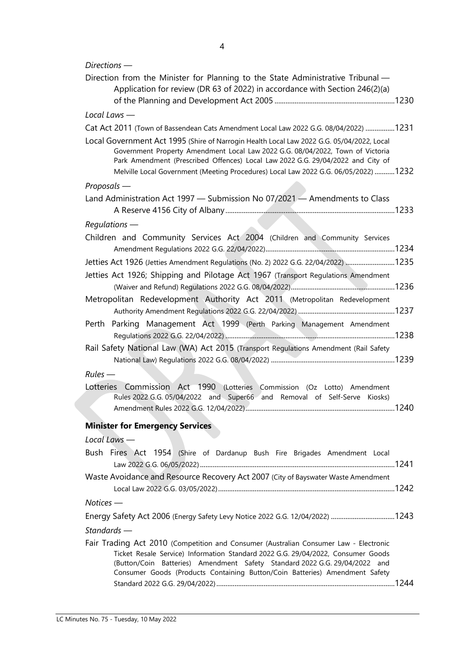| $Directions$ —                                                                                                                                                                                                                                                                                                                                         |  |
|--------------------------------------------------------------------------------------------------------------------------------------------------------------------------------------------------------------------------------------------------------------------------------------------------------------------------------------------------------|--|
| Direction from the Minister for Planning to the State Administrative Tribunal -                                                                                                                                                                                                                                                                        |  |
| Application for review (DR 63 of 2022) in accordance with Section 246(2)(a)                                                                                                                                                                                                                                                                            |  |
|                                                                                                                                                                                                                                                                                                                                                        |  |
| Local Laws $-$                                                                                                                                                                                                                                                                                                                                         |  |
| Cat Act 2011 (Town of Bassendean Cats Amendment Local Law 2022 G.G. 08/04/2022) 1231                                                                                                                                                                                                                                                                   |  |
| Local Government Act 1995 (Shire of Narrogin Health Local Law 2022 G.G. 05/04/2022, Local<br>Government Property Amendment Local Law 2022 G.G. 08/04/2022, Town of Victoria<br>Park Amendment (Prescribed Offences) Local Law 2022 G.G. 29/04/2022 and City of<br>Melville Local Government (Meeting Procedures) Local Law 2022 G.G. 06/05/2022)  1232 |  |
| $Proposals$ —                                                                                                                                                                                                                                                                                                                                          |  |
| Land Administration Act 1997 - Submission No 07/2021 - Amendments to Class                                                                                                                                                                                                                                                                             |  |
|                                                                                                                                                                                                                                                                                                                                                        |  |
| $Requirements$ —                                                                                                                                                                                                                                                                                                                                       |  |
| Children and Community Services Act 2004 (Children and Community Services                                                                                                                                                                                                                                                                              |  |
|                                                                                                                                                                                                                                                                                                                                                        |  |
| Jetties Act 1926 (Jetties Amendment Regulations (No. 2) 2022 G.G. 22/04/2022) 1235                                                                                                                                                                                                                                                                     |  |
| Jetties Act 1926; Shipping and Pilotage Act 1967 (Transport Regulations Amendment                                                                                                                                                                                                                                                                      |  |
|                                                                                                                                                                                                                                                                                                                                                        |  |
| Metropolitan Redevelopment Authority Act 2011 (Metropolitan Redevelopment                                                                                                                                                                                                                                                                              |  |
| Perth Parking Management Act 1999 (Perth Parking Management Amendment                                                                                                                                                                                                                                                                                  |  |
|                                                                                                                                                                                                                                                                                                                                                        |  |
| Rail Safety National Law (WA) Act 2015 (Transport Regulations Amendment (Rail Safety                                                                                                                                                                                                                                                                   |  |
|                                                                                                                                                                                                                                                                                                                                                        |  |
| $Rules$ —                                                                                                                                                                                                                                                                                                                                              |  |
| Lotteries Commission Act 1990 (Lotteries Commission (Oz Lotto) Amendment                                                                                                                                                                                                                                                                               |  |
| Rules 2022 G.G. 05/04/2022 and Super66 and Removal of Self-Serve Kiosks)                                                                                                                                                                                                                                                                               |  |
|                                                                                                                                                                                                                                                                                                                                                        |  |
| <b>Minister for Emergency Services</b>                                                                                                                                                                                                                                                                                                                 |  |
| Local Laws -                                                                                                                                                                                                                                                                                                                                           |  |
| Bush Fires Act 1954 (Shire of Dardanup Bush Fire Brigades Amendment Local                                                                                                                                                                                                                                                                              |  |
| Waste Avoidance and Resource Recovery Act 2007 (City of Bayswater Waste Amendment                                                                                                                                                                                                                                                                      |  |
|                                                                                                                                                                                                                                                                                                                                                        |  |
| $Notices$ —                                                                                                                                                                                                                                                                                                                                            |  |
| Energy Safety Act 2006 (Energy Safety Levy Notice 2022 G.G. 12/04/2022) 1243                                                                                                                                                                                                                                                                           |  |
| $Standards -$                                                                                                                                                                                                                                                                                                                                          |  |
| Fair Trading Act 2010 (Competition and Consumer (Australian Consumer Law - Electronic                                                                                                                                                                                                                                                                  |  |
| Ticket Resale Service) Information Standard 2022 G.G. 29/04/2022, Consumer Goods<br>(Button/Coin Batteries) Amendment Safety Standard 2022 G.G. 29/04/2022 and<br>Consumer Goods (Products Containing Button/Coin Batteries) Amendment Safety                                                                                                          |  |
|                                                                                                                                                                                                                                                                                                                                                        |  |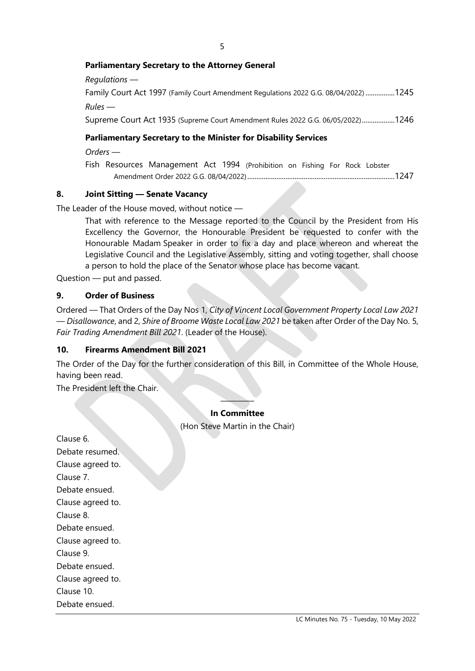#### **Parliamentary Secretary to the Attorney General**

| Parliamentary Secretary to the Minister for Disability Services                      |
|--------------------------------------------------------------------------------------|
| Supreme Court Act 1935 (Supreme Court Amendment Rules 2022 G.G. 06/05/2022)1246      |
| $Rules$ —                                                                            |
| Family Court Act 1997 (Family Court Amendment Regulations 2022 G.G. 08/04/2022) 1245 |
| Regulations —                                                                        |

*Orders —*

Fish Resources Management Act 1994 (Prohibition on Fishing For Rock Lobster Amendment Order 2022 G.G. 08/04/2022).................................................................................1247

#### **8. Joint Sitting — Senate Vacancy**

The Leader of the House moved, without notice —

That with reference to the Message reported to the Council by the President from His Excellency the Governor, the Honourable President be requested to confer with the Honourable Madam Speaker in order to fix a day and place whereon and whereat the Legislative Council and the Legislative Assembly, sitting and voting together, shall choose a person to hold the place of the Senator whose place has become vacant.

Question — put and passed.

#### **9. Order of Business**

Ordered — That Orders of the Day Nos 1, *City of Vincent Local Government Property Local Law 2021 — Disallowance*, and 2, *Shire of Broome Waste Local Law 2021* be taken after Order of the Day No. 5, *Fair Trading Amendment Bill 2021*. (Leader of the House).

#### **10. Firearms Amendment Bill 2021**

The Order of the Day for the further consideration of this Bill, in Committee of the Whole House, having been read.

The President left the Chair.

#### ———— **In Committee**

(Hon Steve Martin in the Chair)

Clause 6. Debate resumed. Clause agreed to. Clause 7. Debate ensued. Clause agreed to. Clause 8. Debate ensued. Clause agreed to. Clause 9. Debate ensued. Clause agreed to. Clause 10. Debate ensued.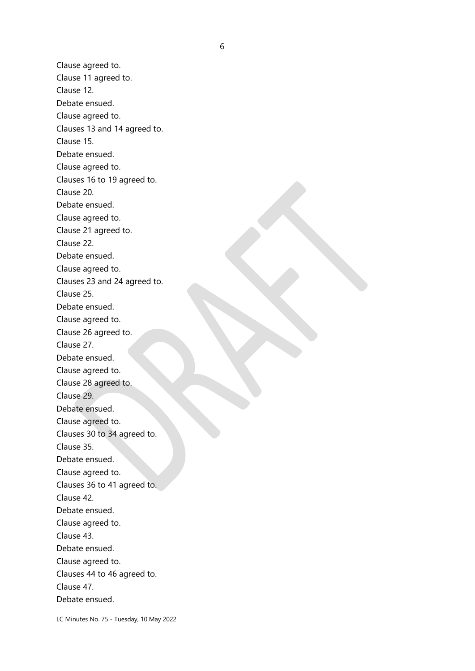Clause agreed to. Clause 11 agreed to. Clause 12. Debate ensued. Clause agreed to. Clauses 13 and 14 agreed to. Clause 15. Debate ensued. Clause agreed to. Clauses 16 to 19 agreed to. Clause 20. Debate ensued. Clause agreed to. Clause 21 agreed to. Clause 22. Debate ensued. Clause agreed to. Clauses 23 and 24 agreed to. Clause 25. Debate ensued. Clause agreed to. Clause 26 agreed to. Clause 27. Debate ensued. Clause agreed to. Clause 28 agreed to. Clause 29. Debate ensued. Clause agreed to. Clauses 30 to 34 agreed to. Clause 35. Debate ensued. Clause agreed to. Clauses 36 to 41 agreed to. Clause 42. Debate ensued. Clause agreed to. Clause 43. Debate ensued. Clause agreed to. Clauses 44 to 46 agreed to. Clause 47. Debate ensued.

LC Minutes No. 75 - Tuesday, 10 May 2022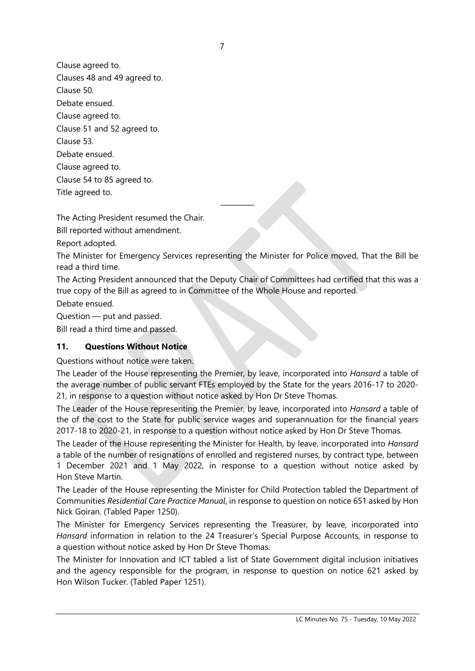Clause agreed to. Clauses 48 and 49 agreed to. Clause 50. Debate ensued. Clause agreed to. Clause 51 and 52 agreed to. Clause 53. Debate ensued. Clause agreed to. Clause 54 to 85 agreed to. Title agreed to.

The Acting President resumed the Chair.

Bill reported without amendment.

Report adopted.

The Minister for Emergency Services representing the Minister for Police moved, That the Bill be read a third time.

————

The Acting President announced that the Deputy Chair of Committees had certified that this was a true copy of the Bill as agreed to in Committee of the Whole House and reported.

Debate ensued.

Question — put and passed.

Bill read a third time and passed.

#### **11. Questions Without Notice**

Questions without notice were taken.

The Leader of the House representing the Premier, by leave, incorporated into *Hansard* a table of the average number of public servant FTEs employed by the State for the years 2016-17 to 2020- 21, in response to a question without notice asked by Hon Dr Steve Thomas.

The Leader of the House representing the Premier, by leave, incorporated into *Hansard* a table of the of the cost to the State for public service wages and superannuation for the financial years 2017-18 to 2020-21, in response to a question without notice asked by Hon Dr Steve Thomas.

The Leader of the House representing the Minister for Health, by leave, incorporated into *Hansard* a table of the number of resignations of enrolled and registered nurses, by contract type, between 1 December 2021 and 1 May 2022, in response to a question without notice asked by Hon Steve Martin.

The Leader of the House representing the Minister for Child Protection tabled the Department of Communities *Residential Care Practice Manual*, in response to question on notice 651 asked by Hon Nick Goiran. (Tabled Paper 1250).

The Minister for Emergency Services representing the Treasurer, by leave, incorporated into *Hansard* information in relation to the 24 Treasurer's Special Purpose Accounts, in response to a question without notice asked by Hon Dr Steve Thomas.

The Minister for Innovation and ICT tabled a list of State Government digital inclusion initiatives and the agency responsible for the program, in response to question on notice 621 asked by Hon Wilson Tucker. (Tabled Paper 1251).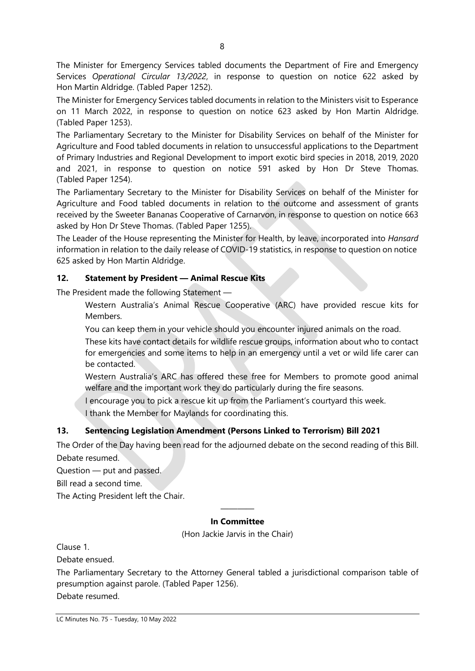The Minister for Emergency Services tabled documents the Department of Fire and Emergency Services *Operational Circular 13/2022*, in response to question on notice 622 asked by Hon Martin Aldridge. (Tabled Paper 1252).

The Minister for Emergency Services tabled documents in relation to the Ministers visit to Esperance on 11 March 2022, in response to question on notice 623 asked by Hon Martin Aldridge. (Tabled Paper 1253).

The Parliamentary Secretary to the Minister for Disability Services on behalf of the Minister for Agriculture and Food tabled documents in relation to unsuccessful applications to the Department of Primary Industries and Regional Development to import exotic bird species in 2018, 2019, 2020 and 2021, in response to question on notice 591 asked by Hon Dr Steve Thomas. (Tabled Paper 1254).

The Parliamentary Secretary to the Minister for Disability Services on behalf of the Minister for Agriculture and Food tabled documents in relation to the outcome and assessment of grants received by the Sweeter Bananas Cooperative of Carnarvon, in response to question on notice 663 asked by Hon Dr Steve Thomas. (Tabled Paper 1255).

The Leader of the House representing the Minister for Health, by leave, incorporated into *Hansard* information in relation to the daily release of COVID-19 statistics, in response to question on notice 625 asked by Hon Martin Aldridge.

## **12. Statement by President — Animal Rescue Kits**

The President made the following Statement —

Western Australia's Animal Rescue Cooperative (ARC) have provided rescue kits for Members.

You can keep them in your vehicle should you encounter injured animals on the road.

These kits have contact details for wildlife rescue groups, information about who to contact for emergencies and some items to help in an emergency until a vet or wild life carer can be contacted.

Western Australia's ARC has offered these free for Members to promote good animal welfare and the important work they do particularly during the fire seasons.

I encourage you to pick a rescue kit up from the Parliament's courtyard this week.

I thank the Member for Maylands for coordinating this.

## **13. Sentencing Legislation Amendment (Persons Linked to Terrorism) Bill 2021**

The Order of the Day having been read for the adjourned debate on the second reading of this Bill. Debate resumed.

Question — put and passed.

Bill read a second time.

The Acting President left the Chair.

#### ———— **In Committee**

(Hon Jackie Jarvis in the Chair)

Clause 1.

Debate ensued.

The Parliamentary Secretary to the Attorney General tabled a jurisdictional comparison table of presumption against parole. (Tabled Paper 1256).

Debate resumed.